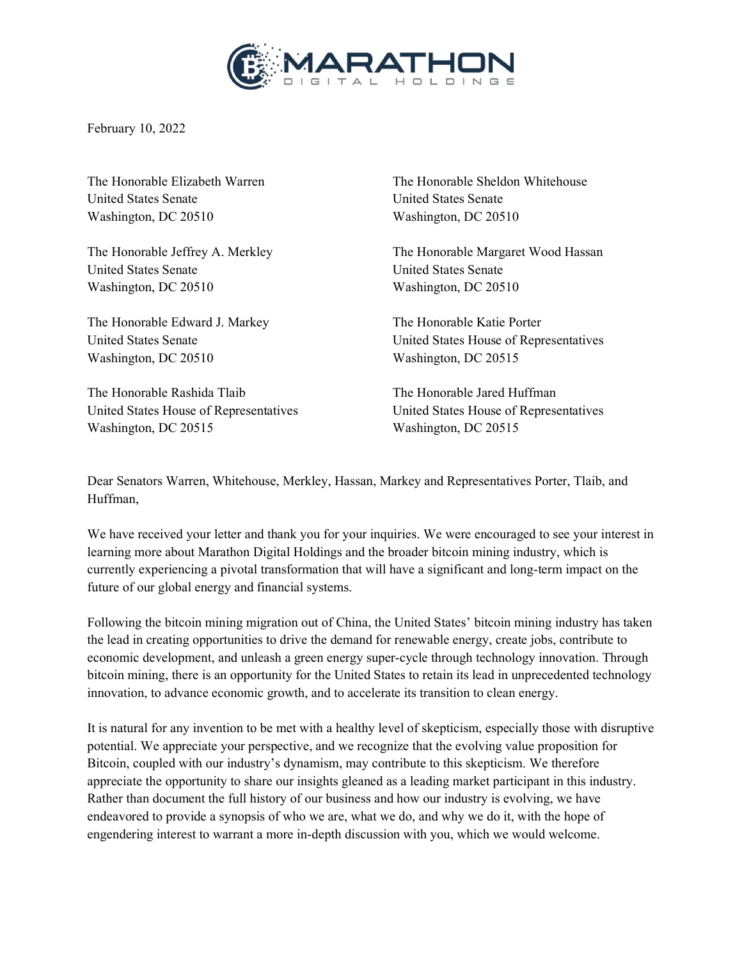

February 10, 2022

United States Senate United States Senate Washington, DC 20510 Washington, DC 20510

United States Senate United States Senate Washington, DC 20510 Washington, DC 20510

The Honorable Edward J. Markey The Honorable Katie Porter Washington, DC 20510 Washington, DC 20515

The Honorable Rashida Tlaib The Honorable Jared Huffman United States House of Representatives United States House of Representatives Washington, DC 20515 Washington, DC 20515

The Honorable Elizabeth Warren The Honorable Sheldon Whitehouse

The Honorable Jeffrey A. Merkley The Honorable Margaret Wood Hassan

United States Senate United States House of Representatives

Dear Senators Warren, Whitehouse, Merkley, Hassan, Markey and Representatives Porter, Tlaib, and Huffman,

We have received your letter and thank you for your inquiries. We were encouraged to see your interest in learning more about Marathon Digital Holdings and the broader bitcoin mining industry, which is currently experiencing a pivotal transformation that will have a significant and long-term impact on the future of our global energy and financial systems.

Following the bitcoin mining migration out of China, the United States' bitcoin mining industry has taken the lead in creating opportunities to drive the demand for renewable energy, create jobs, contribute to economic development, and unleash a green energy super-cycle through technology innovation. Through bitcoin mining, there is an opportunity for the United States to retain its lead in unprecedented technology innovation, to advance economic growth, and to accelerate its transition to clean energy.

It is natural for any invention to be met with a healthy level of skepticism, especially those with disruptive potential. We appreciate your perspective, and we recognize that the evolving value proposition for Bitcoin, coupled with our industry's dynamism, may contribute to this skepticism. We therefore appreciate the opportunity to share our insights gleaned as a leading market participant in this industry. Rather than document the full history of our business and how our industry is evolving, we have endeavored to provide a synopsis of who we are, what we do, and why we do it, with the hope of engendering interest to warrant a more in-depth discussion with you, which we would welcome.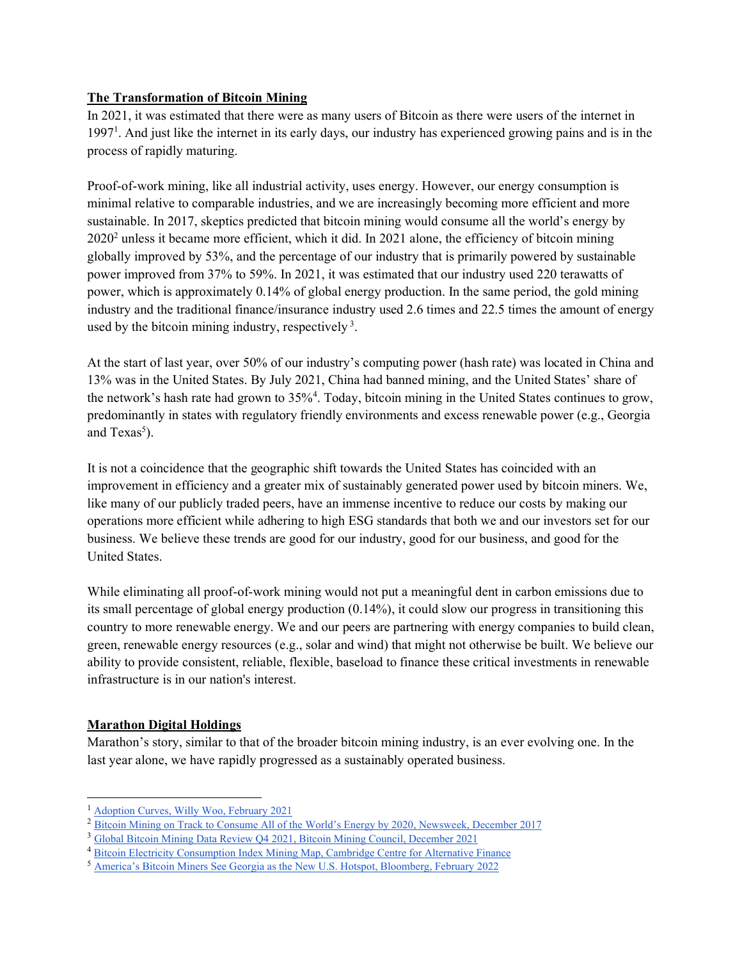## **The Transformation of Bitcoin Mining**

In 2021, it was estimated that there were as many users of Bitcoin as there were users of the internet in 1997<sup>1</sup>. And just like the internet in its early days, our industry has experienced growing pains and is in the process of rapidly maturing.

Proof-of-work mining, like all industrial activity, uses energy. However, our energy consumption is minimal relative to comparable industries, and we are increasingly becoming more efficient and more sustainable. In 2017, skeptics predicted that bitcoin mining would consume all the world's energy by  $2020<sup>2</sup>$  unless it became more efficient, which it did. In 2021 alone, the efficiency of bitcoin mining globally improved by 53%, and the percentage of our industry that is primarily powered by sustainable power improved from 37% to 59%. In 2021, it was estimated that our industry used 220 terawatts of power, which is approximately 0.14% of global energy production. In the same period, the gold mining industry and the traditional finance/insurance industry used 2.6 times and 22.5 times the amount of energy used by the bitcoin mining industry, respectively  $3$ .

At the start of last year, over 50% of our industry's computing power (hash rate) was located in China and 13% was in the United States. By July 2021, China had banned mining, and the United States' share of the network's hash rate had grown to 35%<sup>4</sup>. Today, bitcoin mining in the United States continues to grow, predominantly in states with regulatory friendly environments and excess renewable power (e.g., Georgia and  $Texas<sup>5</sup>$ ).

It is not a coincidence that the geographic shift towards the United States has coincided with an improvement in efficiency and a greater mix of sustainably generated power used by bitcoin miners. We, like many of our publicly traded peers, have an immense incentive to reduce our costs by making our operations more efficient while adhering to high ESG standards that both we and our investors set for our business. We believe these trends are good for our industry, good for our business, and good for the United States.

While eliminating all proof-of-work mining would not put a meaningful dent in carbon emissions due to its small percentage of global energy production (0.14%), it could slow our progress in transitioning this country to more renewable energy. We and our peers are partnering with energy companies to build clean, green, renewable energy resources (e.g., solar and wind) that might not otherwise be built. We believe our ability to provide consistent, reliable, flexible, baseload to finance these critical investments in renewable infrastructure is in our nation's interest.

## **Marathon Digital Holdings**

Marathon's story, similar to that of the broader bitcoin mining industry, is an ever evolving one. In the last year alone, we have rapidly progressed as a sustainably operated business.

<sup>1</sup> [Adoption Curves, Willy Woo, February 2021](https://twitter.com/woonomic/status/1356310219215699968)

<sup>&</sup>lt;sup>2</sup> Bitcoin Mining on Track to Consume All of the World's Energy by 2020, Newsweek, December 2017

<sup>3</sup> [Global Bitcoin Mining Data Review Q4 2021, Bitcoin Mining Council, December 2021](https://bitcoinminingcouncil.com/wp-content/uploads/2022/01/2022.01.18-BMC-Q4-2021.pdf)

<sup>4</sup> [Bitcoin Electricity Consumption Index Mining Map, Cambridge Centre for Alternative Finance](https://ccaf.io/cbeci/mining_map) 

<sup>&</sup>lt;sup>5</sup> America's Bitcoin Miners See Georgia as the New U.S. Hotspot, Bloomberg, February 2022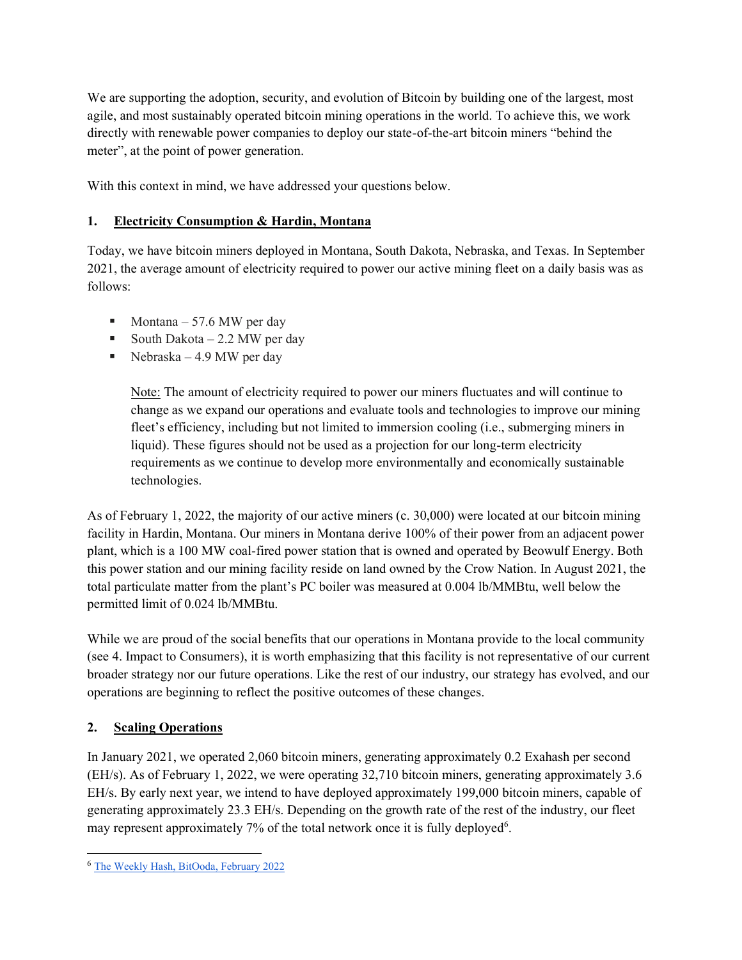We are supporting the adoption, security, and evolution of Bitcoin by building one of the largest, most agile, and most sustainably operated bitcoin mining operations in the world. To achieve this, we work directly with renewable power companies to deploy our state-of-the-art bitcoin miners "behind the meter", at the point of power generation.

With this context in mind, we have addressed your questions below.

## **1. Electricity Consumption & Hardin, Montana**

Today, we have bitcoin miners deployed in Montana, South Dakota, Nebraska, and Texas. In September 2021, the average amount of electricity required to power our active mining fleet on a daily basis was as follows:

- $Montana 57.6 MW$  per day
- South Dakota  $-2.2$  MW per day
- Nebraska  $-4.9$  MW per day

Note: The amount of electricity required to power our miners fluctuates and will continue to change as we expand our operations and evaluate tools and technologies to improve our mining fleet's efficiency, including but not limited to immersion cooling (i.e., submerging miners in liquid). These figures should not be used as a projection for our long-term electricity requirements as we continue to develop more environmentally and economically sustainable technologies.

As of February 1, 2022, the majority of our active miners (c. 30,000) were located at our bitcoin mining facility in Hardin, Montana. Our miners in Montana derive 100% of their power from an adjacent power plant, which is a 100 MW coal-fired power station that is owned and operated by Beowulf Energy. Both this power station and our mining facility reside on land owned by the Crow Nation. In August 2021, the total particulate matter from the plant's PC boiler was measured at 0.004 lb/MMBtu, well below the permitted limit of 0.024 lb/MMBtu.

While we are proud of the social benefits that our operations in Montana provide to the local community (see 4. Impact to Consumers), it is worth emphasizing that this facility is not representative of our current broader strategy nor our future operations. Like the rest of our industry, our strategy has evolved, and our operations are beginning to reflect the positive outcomes of these changes.

## **2. Scaling Operations**

In January 2021, we operated 2,060 bitcoin miners, generating approximately 0.2 Exahash per second (EH/s). As of February 1, 2022, we were operating 32,710 bitcoin miners, generating approximately 3.6 EH/s. By early next year, we intend to have deployed approximately 199,000 bitcoin miners, capable of generating approximately 23.3 EH/s. Depending on the growth rate of the rest of the industry, our fleet may represent approximately 7% of the total network once it is fully deployed<sup>6</sup>.

<sup>6</sup> [The Weekly Hash, BitOoda, February 2022](https://www.bitooda.io/public-files/20220202%20BitOoda%20Weekly%20Hash.pdf)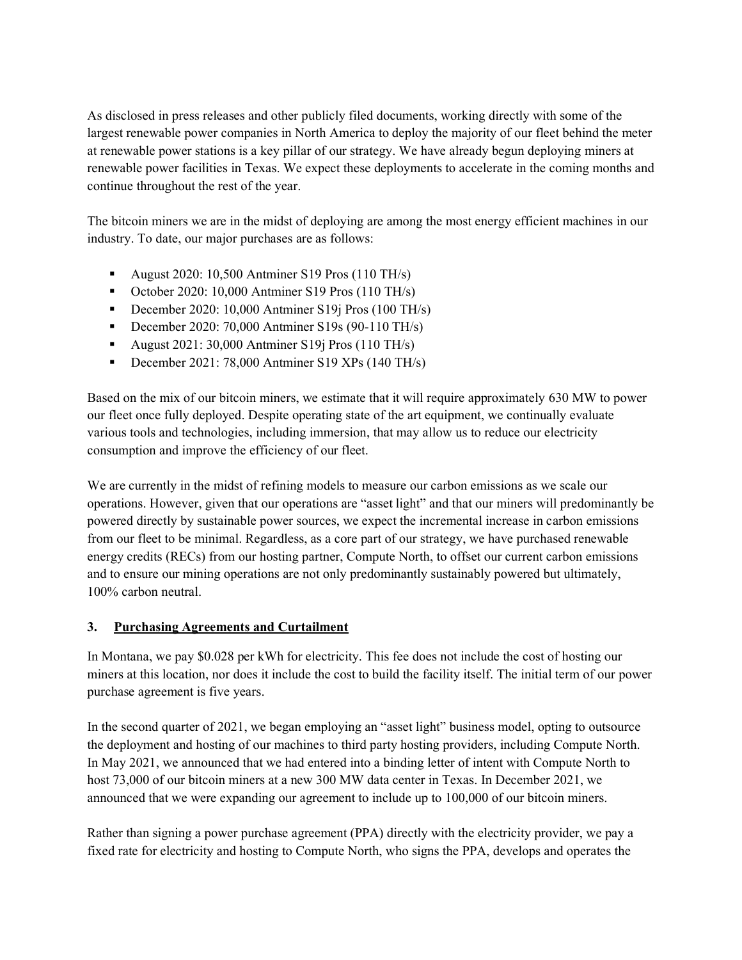As disclosed in press releases and other publicly filed documents, working directly with some of the largest renewable power companies in North America to deploy the majority of our fleet behind the meter at renewable power stations is a key pillar of our strategy. We have already begun deploying miners at renewable power facilities in Texas. We expect these deployments to accelerate in the coming months and continue throughout the rest of the year.

The bitcoin miners we are in the midst of deploying are among the most energy efficient machines in our industry. To date, our major purchases are as follows:

- August 2020: 10,500 Antminer S19 Pros  $(110 \text{ TH/s})$
- October 2020: 10,000 Antminer S19 Pros  $(110 \text{ TH/s})$
- December 2020: 10,000 Antminer S19 $j$  Pros (100 TH/s)
- December 2020: 70,000 Antminer S19s (90-110 TH/s)
- August  $2021: 30,000$  Antminer S19j Pros (110 TH/s)
- December 2021: 78,000 Antminer S19 XPs  $(140 \text{ TH/s})$

Based on the mix of our bitcoin miners, we estimate that it will require approximately 630 MW to power our fleet once fully deployed. Despite operating state of the art equipment, we continually evaluate various tools and technologies, including immersion, that may allow us to reduce our electricity consumption and improve the efficiency of our fleet.

We are currently in the midst of refining models to measure our carbon emissions as we scale our operations. However, given that our operations are "asset light" and that our miners will predominantly be powered directly by sustainable power sources, we expect the incremental increase in carbon emissions from our fleet to be minimal. Regardless, as a core part of our strategy, we have purchased renewable energy credits (RECs) from our hosting partner, Compute North, to offset our current carbon emissions and to ensure our mining operations are not only predominantly sustainably powered but ultimately, 100% carbon neutral.

# **3. Purchasing Agreements and Curtailment**

In Montana, we pay \$0.028 per kWh for electricity. This fee does not include the cost of hosting our miners at this location, nor does it include the cost to build the facility itself. The initial term of our power purchase agreement is five years.

In the second quarter of 2021, we began employing an "asset light" business model, opting to outsource the deployment and hosting of our machines to third party hosting providers, including Compute North. In May 2021, we announced that we had entered into a binding letter of intent with Compute North to host 73,000 of our bitcoin miners at a new 300 MW data center in Texas. In December 2021, we announced that we were expanding our agreement to include up to 100,000 of our bitcoin miners.

Rather than signing a power purchase agreement (PPA) directly with the electricity provider, we pay a fixed rate for electricity and hosting to Compute North, who signs the PPA, develops and operates the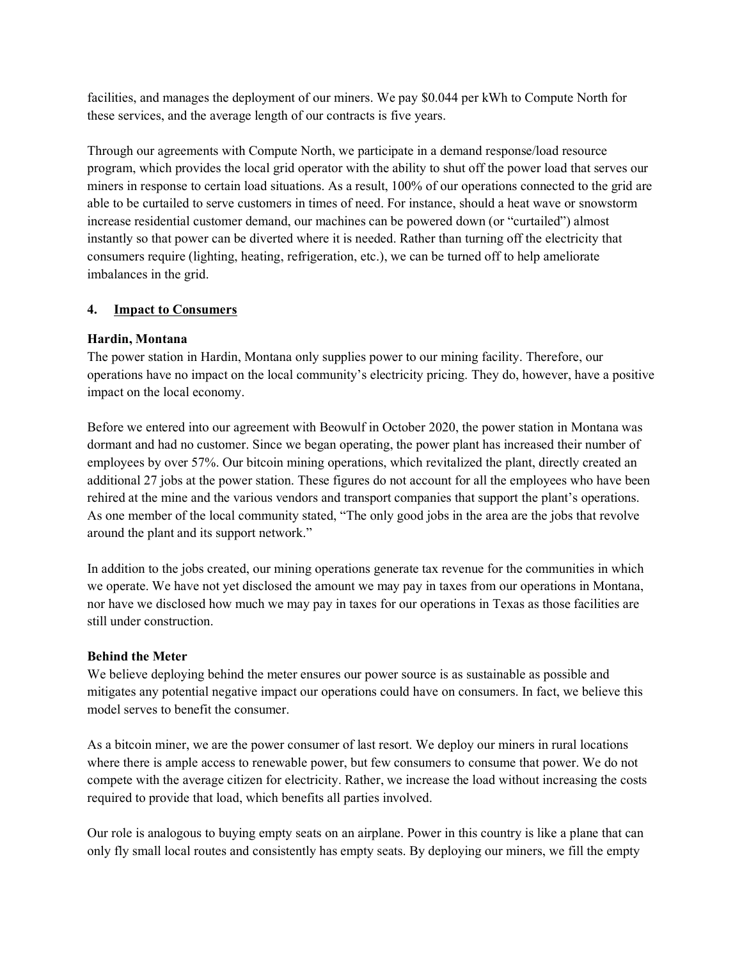facilities, and manages the deployment of our miners. We pay \$0.044 per kWh to Compute North for these services, and the average length of our contracts is five years.

Through our agreements with Compute North, we participate in a demand response/load resource program, which provides the local grid operator with the ability to shut off the power load that serves our miners in response to certain load situations. As a result, 100% of our operations connected to the grid are able to be curtailed to serve customers in times of need. For instance, should a heat wave or snowstorm increase residential customer demand, our machines can be powered down (or "curtailed") almost instantly so that power can be diverted where it is needed. Rather than turning off the electricity that consumers require (lighting, heating, refrigeration, etc.), we can be turned off to help ameliorate imbalances in the grid.

### **4. Impact to Consumers**

### **Hardin, Montana**

The power station in Hardin, Montana only supplies power to our mining facility. Therefore, our operations have no impact on the local community's electricity pricing. They do, however, have a positive impact on the local economy.

Before we entered into our agreement with Beowulf in October 2020, the power station in Montana was dormant and had no customer. Since we began operating, the power plant has increased their number of employees by over 57%. Our bitcoin mining operations, which revitalized the plant, directly created an additional 27 jobs at the power station. These figures do not account for all the employees who have been rehired at the mine and the various vendors and transport companies that support the plant's operations. As one member of the local community stated, "The only good jobs in the area are the jobs that revolve around the plant and its support network."

In addition to the jobs created, our mining operations generate tax revenue for the communities in which we operate. We have not yet disclosed the amount we may pay in taxes from our operations in Montana, nor have we disclosed how much we may pay in taxes for our operations in Texas as those facilities are still under construction.

### **Behind the Meter**

We believe deploying behind the meter ensures our power source is as sustainable as possible and mitigates any potential negative impact our operations could have on consumers. In fact, we believe this model serves to benefit the consumer.

As a bitcoin miner, we are the power consumer of last resort. We deploy our miners in rural locations where there is ample access to renewable power, but few consumers to consume that power. We do not compete with the average citizen for electricity. Rather, we increase the load without increasing the costs required to provide that load, which benefits all parties involved.

Our role is analogous to buying empty seats on an airplane. Power in this country is like a plane that can only fly small local routes and consistently has empty seats. By deploying our miners, we fill the empty